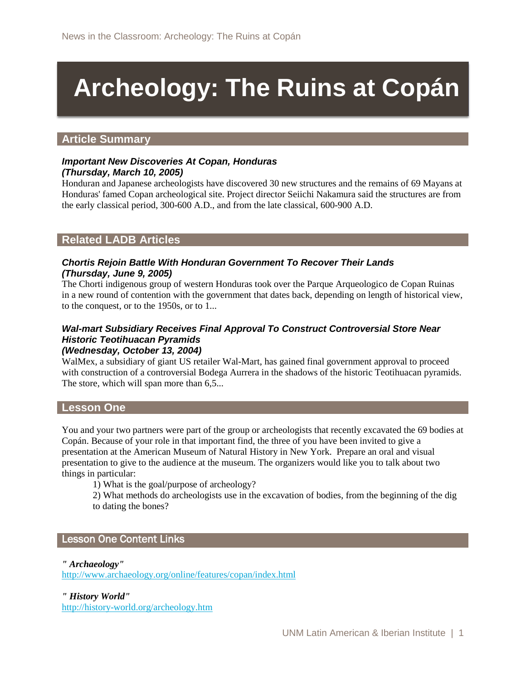# **Archeology: The Ruins at Copán**

### **Article Summary**

#### *Important New Discoveries At Copan, Honduras (Thursday, March 10, 2005)*

Honduran and Japanese archeologists have discovered 30 new structures and the remains of 69 Mayans at Honduras' famed Copan archeological site. Project director Seiichi Nakamura said the structures are from the early classical period, 300-600 A.D., and from the late classical, 600-900 A.D.

## **Related LADB Articles**

#### *Chortis Rejoin Battle With Honduran Government To Recover Their Lands (Thursday, June 9, 2005)*

The Chorti indigenous group of western Honduras took over the Parque Arqueologico de Copan Ruinas in a new round of contention with the government that dates back, depending on length of historical view, to the conquest, or to the 1950s, or to 1...

#### *Wal-mart Subsidiary Receives Final Approval To Construct Controversial Store Near Historic Teotihuacan Pyramids (Wednesday, October 13, 2004)*

WalMex, a subsidiary of giant US retailer Wal-Mart, has gained final government approval to proceed with construction of a controversial Bodega Aurrera in the shadows of the historic Teotihuacan pyramids. The store, which will span more than  $6,5...$ 

#### **Lesson One**

You and your two partners were part of the group or archeologists that recently excavated the 69 bodies at Copán. Because of your role in that important find, the three of you have been invited to give a presentation at the American Museum of Natural History in New York. Prepare an oral and visual presentation to give to the audience at the museum. The organizers would like you to talk about two things in particular:

1) What is the goal/purpose of archeology?

2) What methods do archeologists use in the excavation of bodies, from the beginning of the dig to dating the bones?

#### Lesson One Content Links

*" Archaeology"*

<http://www.archaeology.org/online/features/copan/index.html>

*" History World"*

<http://history-world.org/archeology.htm>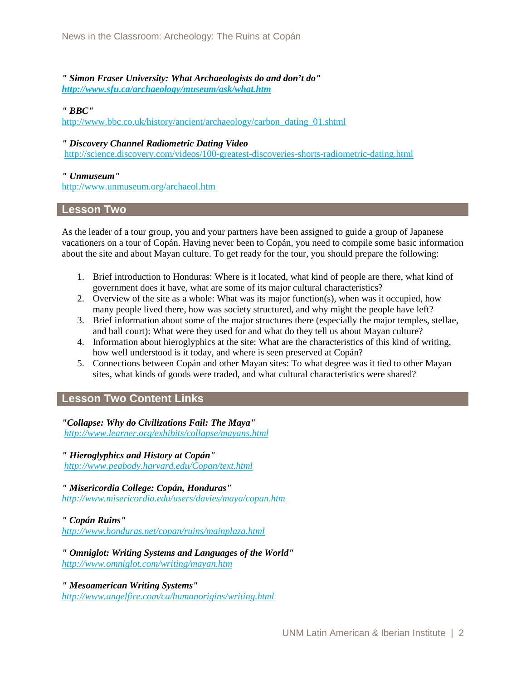*" Simon Fraser University: What Archaeologists do and don't do" <http://www.sfu.ca/archaeology/museum/ask/what.htm>*

*" BBC"*

[http://www.bbc.co.uk/history/ancient/archaeology/carbon\\_dating\\_01.shtml](http://www.bbc.co.uk/history/ancient/archaeology/carbon_dating_01.shtml)

#### *" Discovery Channel Radiometric Dating Video*

<http://science.discovery.com/videos/100-greatest-discoveries-shorts-radiometric-dating.html>

#### *" Unmuseum"*

<http://www.unmuseum.org/archaeol.htm>

#### **Lesson Two**

As the leader of a tour group, you and your partners have been assigned to guide a group of Japanese vacationers on a tour of Copán. Having never been to Copán, you need to compile some basic information about the site and about Mayan culture. To get ready for the tour, you should prepare the following:

- 1. Brief introduction to Honduras: Where is it located, what kind of people are there, what kind of government does it have, what are some of its major cultural characteristics?
- 2. Overview of the site as a whole: What was its major function(s), when was it occupied, how many people lived there, how was society structured, and why might the people have left?
- 3. Brief information about some of the major structures there (especially the major temples, stellae, and ball court): What were they used for and what do they tell us about Mayan culture?
- 4. Information about hieroglyphics at the site: What are the characteristics of this kind of writing, how well understood is it today, and where is seen preserved at Copán?
- 5. Connections between Copán and other Mayan sites: To what degree was it tied to other Mayan sites, what kinds of goods were traded, and what cultural characteristics were shared?

# **Lesson Two Content Links**

*"Collapse: Why do Civilizations Fail: The Maya" <http://www.learner.org/exhibits/collapse/mayans.html>*

*" Hieroglyphics and History at Copán" <http://www.peabody.harvard.edu/Copan/text.html>*

*" Misericordia College: Copán, Honduras" <http://www.misericordia.edu/users/davies/maya/copan.htm>*

#### *" Copán Ruins"*

*<http://www.honduras.net/copan/ruins/mainplaza.html>*

*" Omniglot: Writing Systems and Languages of the World" <http://www.omniglot.com/writing/mayan.htm>*

*" Mesoamerican Writing Systems" <http://www.angelfire.com/ca/humanorigins/writing.html>*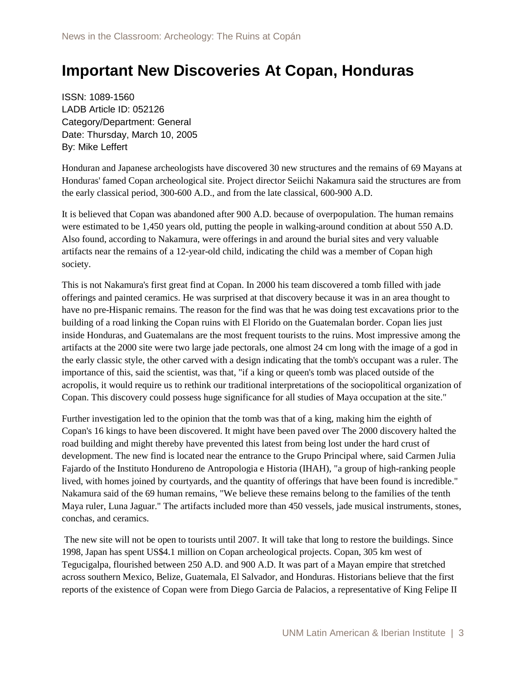# **Important New Discoveries At Copan, Honduras**

ISSN: 1089-1560 LADB Article ID: 052126 Category/Department: General Date: Thursday, March 10, 2005 By: Mike Leffert

Honduran and Japanese archeologists have discovered 30 new structures and the remains of 69 Mayans at Honduras' famed Copan archeological site. Project director Seiichi Nakamura said the structures are from the early classical period, 300-600 A.D., and from the late classical, 600-900 A.D.

It is believed that Copan was abandoned after 900 A.D. because of overpopulation. The human remains were estimated to be 1,450 years old, putting the people in walking-around condition at about 550 A.D. Also found, according to Nakamura, were offerings in and around the burial sites and very valuable artifacts near the remains of a 12-year-old child, indicating the child was a member of Copan high society.

This is not Nakamura's first great find at Copan. In 2000 his team discovered a tomb filled with jade offerings and painted ceramics. He was surprised at that discovery because it was in an area thought to have no pre-Hispanic remains. The reason for the find was that he was doing test excavations prior to the building of a road linking the Copan ruins with El Florido on the Guatemalan border. Copan lies just inside Honduras, and Guatemalans are the most frequent tourists to the ruins. Most impressive among the artifacts at the 2000 site were two large jade pectorals, one almost 24 cm long with the image of a god in the early classic style, the other carved with a design indicating that the tomb's occupant was a ruler. The importance of this, said the scientist, was that, "if a king or queen's tomb was placed outside of the acropolis, it would require us to rethink our traditional interpretations of the sociopolitical organization of Copan. This discovery could possess huge significance for all studies of Maya occupation at the site."

Further investigation led to the opinion that the tomb was that of a king, making him the eighth of Copan's 16 kings to have been discovered. It might have been paved over The 2000 discovery halted the road building and might thereby have prevented this latest from being lost under the hard crust of development. The new find is located near the entrance to the Grupo Principal where, said Carmen Julia Fajardo of the Instituto Hondureno de Antropologia e Historia (IHAH), "a group of high-ranking people lived, with homes joined by courtyards, and the quantity of offerings that have been found is incredible." Nakamura said of the 69 human remains, "We believe these remains belong to the families of the tenth Maya ruler, Luna Jaguar." The artifacts included more than 450 vessels, jade musical instruments, stones, conchas, and ceramics.

The new site will not be open to tourists until 2007. It will take that long to restore the buildings. Since 1998, Japan has spent US\$4.1 million on Copan archeological projects. Copan, 305 km west of Tegucigalpa, flourished between 250 A.D. and 900 A.D. It was part of a Mayan empire that stretched across southern Mexico, Belize, Guatemala, El Salvador, and Honduras. Historians believe that the first reports of the existence of Copan were from Diego Garcia de Palacios, a representative of King Felipe II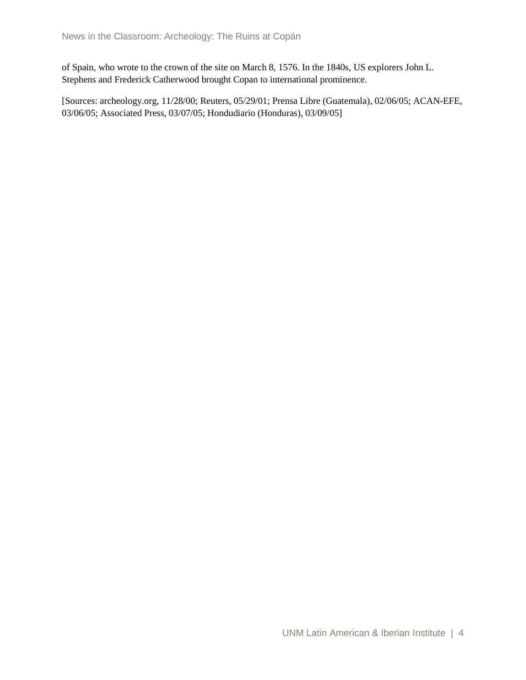of Spain, who wrote to the crown of the site on March 8, 1576. In the 1840s, US explorers John L. Stephens and Frederick Catherwood brought Copan to international prominence.

[Sources: archeology.org, 11/28/00; Reuters, 05/29/01; Prensa Libre (Guatemala), 02/06/05; ACAN-EFE, 03/06/05; Associated Press, 03/07/05; Hondudiario (Honduras), 03/09/05]